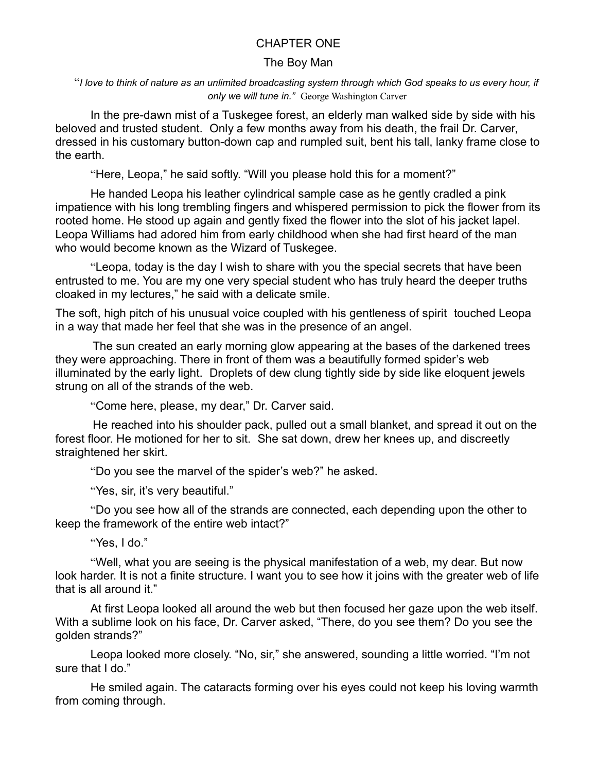## CHAPTER ONE

## The Boy Man

"*I love to think of nature as an unlimited broadcasting system through which God speaks to us every hour, if only we will tune in."* George Washington Carver

In the pre-dawn mist of a Tuskegee forest, an elderly man walked side by side with his beloved and trusted student. Only a few months away from his death, the frail Dr. Carver, dressed in his customary button-down cap and rumpled suit, bent his tall, lanky frame close to the earth.

"Here, Leopa," he said softly. "Will you please hold this for a moment?"

He handed Leopa his leather cylindrical sample case as he gently cradled a pink impatience with his long trembling fingers and whispered permission to pick the flower from its rooted home. He stood up again and gently fixed the flower into the slot of his jacket lapel. Leopa Williams had adored him from early childhood when she had first heard of the man who would become known as the Wizard of Tuskegee.

"Leopa, today is the day I wish to share with you the special secrets that have been entrusted to me. You are my one very special student who has truly heard the deeper truths cloaked in my lectures," he said with a delicate smile.

The soft, high pitch of his unusual voice coupled with his gentleness of spirit touched Leopa in a way that made her feel that she was in the presence of an angel.

The sun created an early morning glow appearing at the bases of the darkened trees they were approaching. There in front of them was a beautifully formed spider's web illuminated by the early light. Droplets of dew clung tightly side by side like eloquent jewels strung on all of the strands of the web.

"Come here, please, my dear," Dr. Carver said.

He reached into his shoulder pack, pulled out a small blanket, and spread it out on the forest floor. He motioned for her to sit. She sat down, drew her knees up, and discreetly straightened her skirt.

"Do you see the marvel of the spider's web?" he asked.

"Yes, sir, it's very beautiful."

"Do you see how all of the strands are connected, each depending upon the other to keep the framework of the entire web intact?"

"Yes, I do."

"Well, what you are seeing is the physical manifestation of a web, my dear. But now look harder. It is not a finite structure. I want you to see how it joins with the greater web of life that is all around it."

At first Leopa looked all around the web but then focused her gaze upon the web itself. With a sublime look on his face, Dr. Carver asked, "There, do you see them? Do you see the golden strands?"

Leopa looked more closely. "No, sir," she answered, sounding a little worried. "I'm not sure that I do."

He smiled again. The cataracts forming over his eyes could not keep his loving warmth from coming through.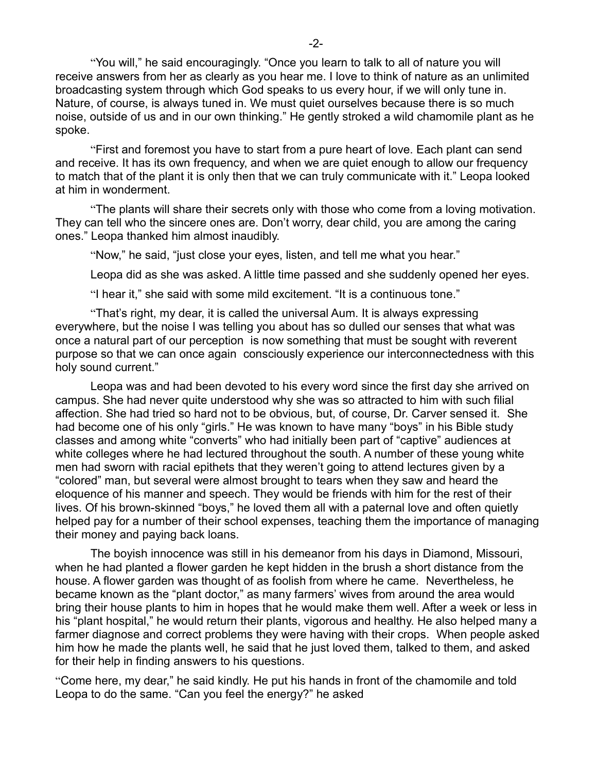"You will," he said encouragingly. "Once you learn to talk to all of nature you will receive answers from her as clearly as you hear me. I love to think of nature as an unlimited broadcasting system through which God speaks to us every hour, if we will only tune in. Nature, of course, is always tuned in. We must quiet ourselves because there is so much noise, outside of us and in our own thinking." He gently stroked a wild chamomile plant as he spoke.

"First and foremost you have to start from a pure heart of love. Each plant can send and receive. It has its own frequency, and when we are quiet enough to allow our frequency to match that of the plant it is only then that we can truly communicate with it." Leopa looked at him in wonderment.

"The plants will share their secrets only with those who come from a loving motivation. They can tell who the sincere ones are. Don't worry, dear child, you are among the caring ones." Leopa thanked him almost inaudibly.

"Now," he said, "just close your eyes, listen, and tell me what you hear."

Leopa did as she was asked. A little time passed and she suddenly opened her eyes.

"I hear it," she said with some mild excitement. "It is a continuous tone."

"That's right, my dear, it is called the universal Aum. It is always expressing everywhere, but the noise I was telling you about has so dulled our senses that what was once a natural part of our perception is now something that must be sought with reverent purpose so that we can once again consciously experience our interconnectedness with this holy sound current."

Leopa was and had been devoted to his every word since the first day she arrived on campus. She had never quite understood why she was so attracted to him with such filial affection. She had tried so hard not to be obvious, but, of course, Dr. Carver sensed it. She had become one of his only "girls." He was known to have many "boys" in his Bible study classes and among white "converts" who had initially been part of "captive" audiences at white colleges where he had lectured throughout the south. A number of these young white men had sworn with racial epithets that they weren't going to attend lectures given by a "colored" man, but several were almost brought to tears when they saw and heard the eloquence of his manner and speech. They would be friends with him for the rest of their lives. Of his brown-skinned "boys," he loved them all with a paternal love and often quietly helped pay for a number of their school expenses, teaching them the importance of managing their money and paying back loans.

The boyish innocence was still in his demeanor from his days in Diamond, Missouri, when he had planted a flower garden he kept hidden in the brush a short distance from the house. A flower garden was thought of as foolish from where he came. Nevertheless, he became known as the "plant doctor," as many farmers' wives from around the area would bring their house plants to him in hopes that he would make them well. After a week or less in his "plant hospital," he would return their plants, vigorous and healthy. He also helped many a farmer diagnose and correct problems they were having with their crops. When people asked him how he made the plants well, he said that he just loved them, talked to them, and asked for their help in finding answers to his questions.

"Come here, my dear," he said kindly. He put his hands in front of the chamomile and told Leopa to do the same. "Can you feel the energy?" he asked